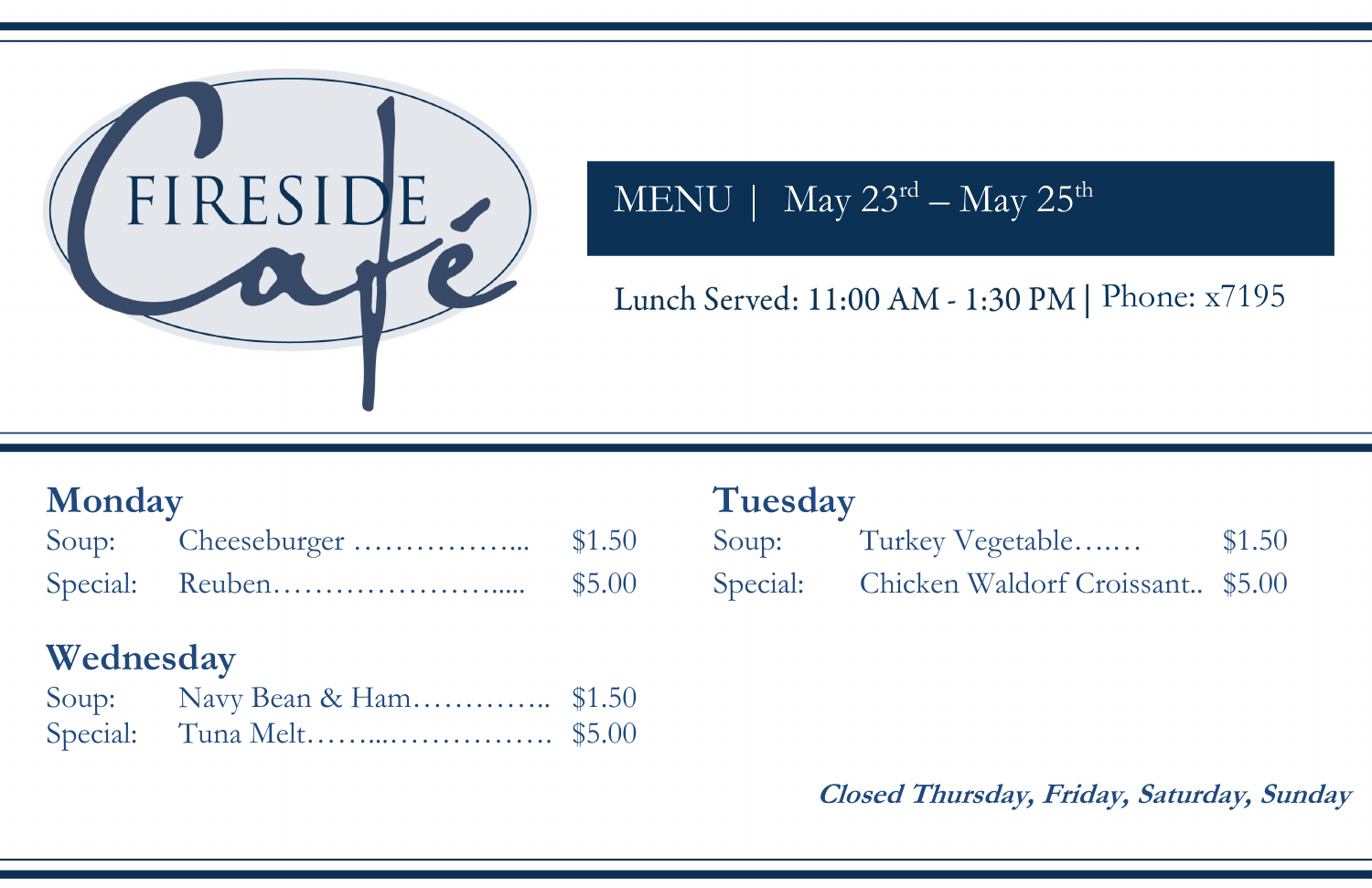

MENU | May 23<sup>rd</sup> – May 25<sup>th</sup>

Lunch Served: 11:00 AM - 1:30 PM | Phone: x7195

**Closed Thursday, Friday, Saturday, Sunday**

 $\text{stable} \dots \dots$  \$1.50 ddorf Croissant.. \$5.00

| <b>Monday</b> |  |  | Tuesday |  |
|---------------|--|--|---------|--|
|               |  |  |         |  |
|               |  |  |         |  |

# **Wednesday**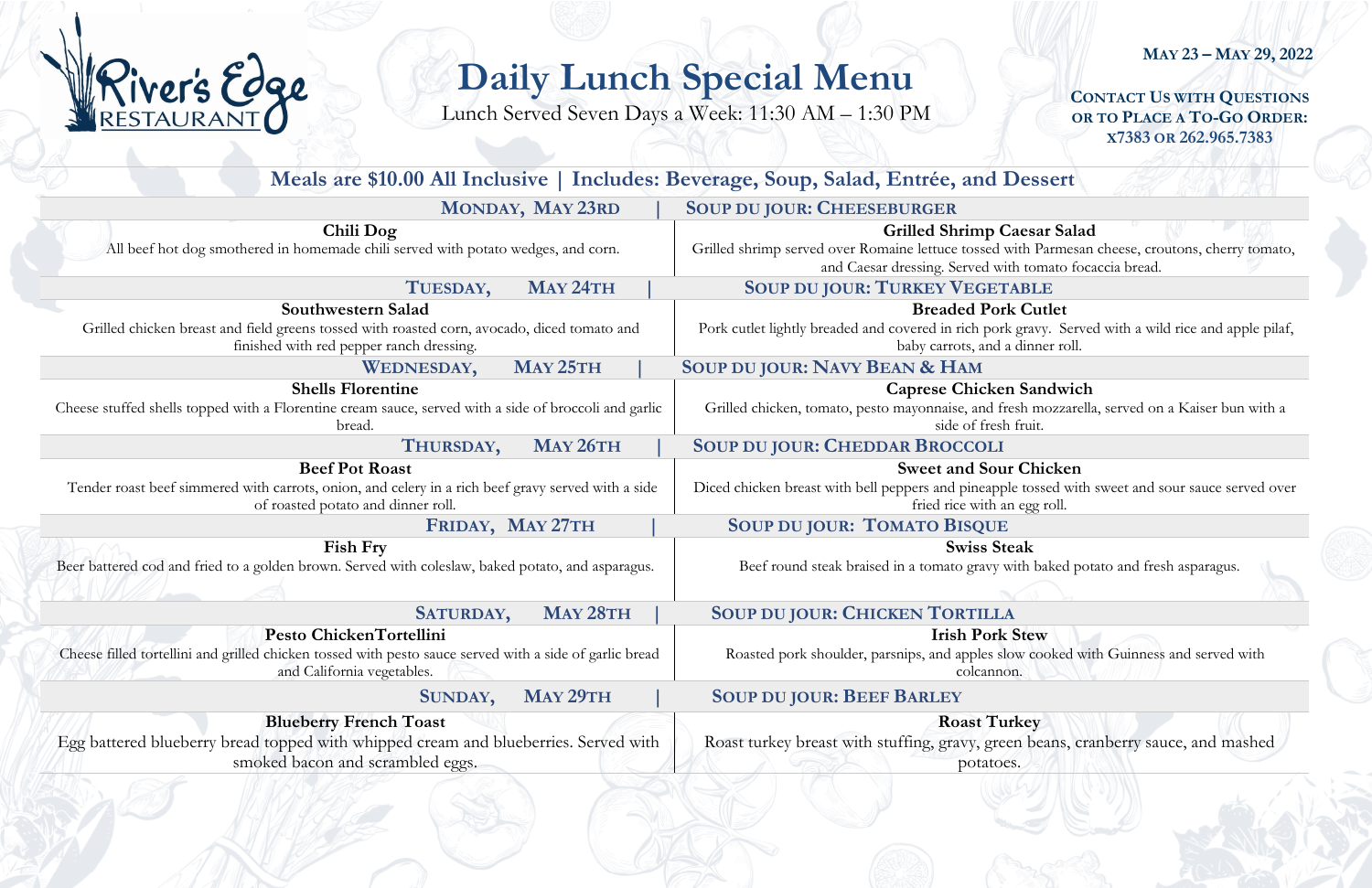**CONTACT US WITH QUESTIONS OR TO PLACE A TO-GO ORDER: X7383 OR 262.965.7383**

### **Caesar Salad**

with Parmesan cheese, croutons, cherry tomato, ith tomato focaccia bread.

### **k** Cutlet

regravy. Served with a wild rice and apple pilaf, dinner roll.

## **n** Sandwich

esh mozzarella, served on a Kaiser bun with a fruit.

### **I**r Chicken

le tossed with sweet and sour sauce served over n egg roll.

### **s** eak

with baked potato and fresh asparagus.

### **Stew**

ow cooked with Guinness and served with n.

## **Requirely**

en beans, cranberry sauce, and mashed  $SS.$ 

# **MAY 23 – MAY 29, 2022**

# **Daily Lunch Special Menu**

Lunch Served Seven Days a Week: 11:30 AM – 1:30 PM

|                                                                                                                                                                   | Meals are \$10.00 All Inclusive   Includes: Beverage, Soup, Salad, Entrée, and Dessert                                                       |
|-------------------------------------------------------------------------------------------------------------------------------------------------------------------|----------------------------------------------------------------------------------------------------------------------------------------------|
| MONDAY, MAY 23RD                                                                                                                                                  | <b>SOUP DU JOUR: CHEESEBURGER</b>                                                                                                            |
| Chili Dog<br>All beef hot dog smothered in homemade chili served with potato wedges, and corn.                                                                    | <b>Grilled Shrimp Caesar Sa</b><br>Grilled shrimp served over Romaine lettuce tossed with Parme<br>and Caesar dressing. Served with tomato 1 |
| MAY 24TH<br>TUESDAY,                                                                                                                                              | <b>SOUP DU JOUR: TURKEY VEGETABLE</b>                                                                                                        |
| Southwestern Salad<br>Grilled chicken breast and field greens tossed with roasted corn, avocado, diced tomato and<br>finished with red pepper ranch dressing.     | <b>Breaded Pork Cutlet</b><br>Pork cutlet lightly breaded and covered in rich pork gravy. Se<br>baby carrots, and a dinner rol               |
| MAY 25TH<br><b>WEDNESDAY,</b>                                                                                                                                     | SOUP DU JOUR: NAVY BEAN & HAM                                                                                                                |
| <b>Shells Florentine</b><br>Cheese stuffed shells topped with a Florentine cream sauce, served with a side of broccoli and garlic<br>bread.                       | <b>Caprese Chicken Sandwi</b><br>Grilled chicken, tomato, pesto mayonnaise, and fresh mozzai<br>side of fresh fruit.                         |
| MAY 26TH<br>THURSDAY,                                                                                                                                             | <b>SOUP DU JOUR: CHEDDAR BROCCOLI</b>                                                                                                        |
| <b>Beef Pot Roast</b><br>Tender roast beef simmered with carrots, onion, and celery in a rich beef gravy served with a side<br>of roasted potato and dinner roll. | <b>Sweet and Sour Chicker</b><br>Diced chicken breast with bell peppers and pineapple tossed w<br>fried rice with an egg roll.               |
| FRIDAY, MAY 27TH                                                                                                                                                  | <b>SOUP DU JOUR: TOMATO BISQUE</b>                                                                                                           |
| <b>Fish Fry</b><br>Beer battered cod and fried to a golden brown. Served with coleslaw, baked potato, and asparagus.                                              | <b>Swiss Steak</b><br>Beef round steak braised in a tomato gravy with baked                                                                  |
| MAY 28TH<br>SATURDAY,                                                                                                                                             | <b>SOUP DU JOUR: CHICKEN TORTILLA</b>                                                                                                        |
| Pesto ChickenTortellini<br>Cheese filled tortellini and grilled chicken tossed with pesto sauce served with a side of garlic bread<br>and California vegetables.  | <b>Irish Pork Stew</b><br>Roasted pork shoulder, parsnips, and apples slow cooked<br>colcannon.                                              |
| MAY 29TH<br>SUNDAY,                                                                                                                                               | <b>SOUP DU JOUR: BEEF BARLEY</b>                                                                                                             |
| <b>Blueberry French Toast</b><br>Egg battered blueberry bread topped with whipped cream and blueberries. Served with<br>smoked bacon and scrambled eggs.          | <b>Roast Turkey</b><br>Roast turkey breast with stuffing, gravy, green beans,<br>potatoes.                                                   |
|                                                                                                                                                                   |                                                                                                                                              |

River's Edge